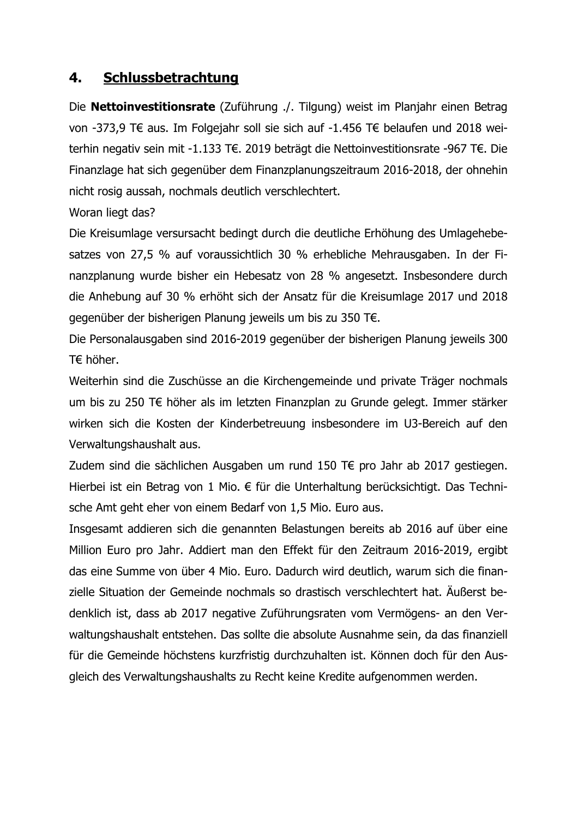## 4. Schlussbetrachtung

Die Nettoinvestitionsrate (Zuführung ./. Tilgung) weist im Planjahr einen Betrag von -373,9 T€ aus. Im Folgejahr soll sie sich auf -1.456 T€ belaufen und 2018 weiterhin negativ sein mit -1.133 T€. 2019 beträgt die Nettoinvestitionsrate -967 T€. Die Finanzlage hat sich gegenüber dem Finanzplanungszeitraum 2016-2018, der ohnehin nicht rosig aussah, nochmals deutlich verschlechtert.

Woran liegt das?

Die Kreisumlage versursacht bedingt durch die deutliche Erhöhung des Umlagehebesatzes von 27,5 % auf voraussichtlich 30 % erhebliche Mehrausgaben. In der Finanzplanung wurde bisher ein Hebesatz von 28 % angesetzt. Insbesondere durch die Anhebung auf 30 % erhöht sich der Ansatz für die Kreisumlage 2017 und 2018 gegenüber der bisherigen Planung jeweils um bis zu 350 T€.

Die Personalausgaben sind 2016-2019 gegenüber der bisherigen Planung jeweils 300  $T \in$  höher.

Weiterhin sind die Zuschüsse an die Kirchengemeinde und private Träger nochmals um bis zu 250 T€ höher als im letzten Finanzplan zu Grunde gelegt. Immer stärker wirken sich die Kosten der Kinderbetreuung insbesondere im U3-Bereich auf den Verwaltungshaushalt aus.

Zudem sind die sächlichen Ausgaben um rund 150 T€ pro Jahr ab 2017 gestiegen. Hierbei ist ein Betrag von 1 Mio. € für die Unterhaltung berücksichtigt. Das Technische Amt geht eher von einem Bedarf von 1,5 Mio. Euro aus.

Insgesamt addieren sich die genannten Belastungen bereits ab 2016 auf über eine Million Euro pro Jahr. Addiert man den Effekt für den Zeitraum 2016-2019, ergibt das eine Summe von über 4 Mio. Euro. Dadurch wird deutlich, warum sich die finanzielle Situation der Gemeinde nochmals so drastisch verschlechtert hat. Äußerst bedenklich ist, dass ab 2017 negative Zuführungsraten vom Vermögens- an den Verwaltungshaushalt entstehen. Das sollte die absolute Ausnahme sein, da das finanziell für die Gemeinde höchstens kurzfristig durchzuhalten ist. Können doch für den Ausgleich des Verwaltungshaushalts zu Recht keine Kredite aufgenommen werden.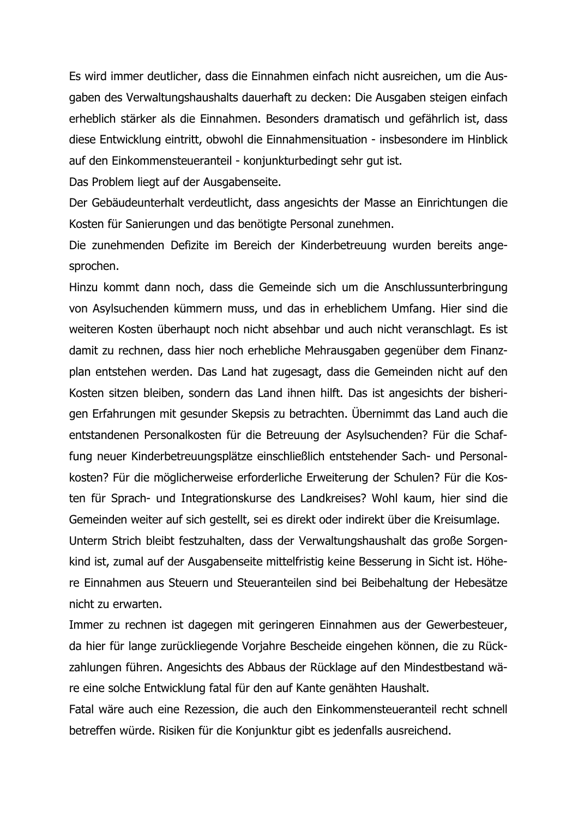Es wird immer deutlicher, dass die Einnahmen einfach nicht ausreichen, um die Ausgaben des Verwaltungshaushalts dauerhaft zu decken: Die Ausgaben steigen einfach erheblich stärker als die Einnahmen. Besonders dramatisch und gefährlich ist, dass diese Entwicklung eintritt, obwohl die Einnahmensituation - insbesondere im Hinblick auf den Einkommensteueranteil - konjunkturbedingt sehr gut ist.

Das Problem liegt auf der Ausgabenseite.

Der Gebäudeunterhalt verdeutlicht, dass angesichts der Masse an Einrichtungen die Kosten für Sanierungen und das benötigte Personal zunehmen.

Die zunehmenden Defizite im Bereich der Kinderbetreuung wurden bereits angesprochen.

Hinzu kommt dann noch, dass die Gemeinde sich um die Anschlussunterbringung von Asylsuchenden kümmern muss, und das in erheblichem Umfang. Hier sind die weiteren Kosten überhaupt noch nicht absehbar und auch nicht veranschlagt. Es ist damit zu rechnen, dass hier noch erhebliche Mehrausgaben gegenüber dem Finanzplan entstehen werden. Das Land hat zugesagt, dass die Gemeinden nicht auf den Kosten sitzen bleiben, sondern das Land ihnen hilft. Das ist angesichts der bisherigen Erfahrungen mit gesunder Skepsis zu betrachten. Übernimmt das Land auch die entstandenen Personalkosten für die Betreuung der Asylsuchenden? Für die Schaffung neuer Kinderbetreuungsplätze einschließlich entstehender Sach- und Personalkosten? Für die möglicherweise erforderliche Erweiterung der Schulen? Für die Kosten für Sprach- und Integrationskurse des Landkreises? Wohl kaum, hier sind die Gemeinden weiter auf sich gestellt, sei es direkt oder indirekt über die Kreisumlage. Unterm Strich bleibt festzuhalten, dass der Verwaltungshaushalt das große Sorgenkind ist, zumal auf der Ausgabenseite mittelfristig keine Besserung in Sicht ist. Höhere Einnahmen aus Steuern und Steueranteilen sind bei Beibehaltung der Hebesätze nicht zu erwarten.

Immer zu rechnen ist dagegen mit geringeren Einnahmen aus der Gewerbesteuer, da hier für lange zurückliegende Vorjahre Bescheide eingehen können, die zu Rückzahlungen führen. Angesichts des Abbaus der Rücklage auf den Mindestbestand wäre eine solche Entwicklung fatal für den auf Kante genähten Haushalt.

Fatal wäre auch eine Rezession, die auch den Einkommensteueranteil recht schnell betreffen würde. Risiken für die Konjunktur gibt es jedenfalls ausreichend.